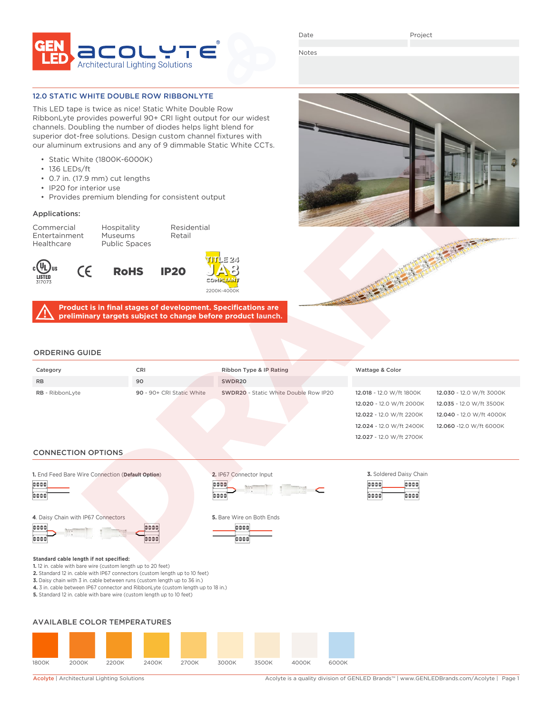

Date

Notes

### 12.0 STATIC WHITE DOUBLE ROW RIBBONLYTE

This LED tape is twice as nice! Static White Double Row RibbonLyte provides powerful 90+ CRI light output for our widest channels. Doubling the number of diodes helps light blend for superior dot-free solutions. Design custom channel fixtures with our aluminum extrusions and any of 9 dimmable Static White CCTs.

- Static White (1800K-6000K)
- 136 LEDs/ft
- 0.7 in. (17.9 mm) cut lengths
- IP20 for interior use

CE

• Provides premium blending for consistent output

### Applications:

Commercial Hospitality Residential Entertainment Museums Retail<br>Healthcare Public Spaces Public Spaces







0000

õõ

000

inar

**Product is in final stages of development. Specifications are preliminary targets subject to change before product launch.**





12.027 - 12.0 W/ft 2700K

0000

1000

ood

### ORDERING GUIDE

| Category               | <b>CRI</b>                | Ribbon Type & IP Rating               | Wattage & Color          |                          |
|------------------------|---------------------------|---------------------------------------|--------------------------|--------------------------|
| <b>RB</b>              | 90                        | SWDR20                                |                          |                          |
| <b>RB</b> - RibbonLyte | 90 - 90+ CRI Static White | SWDR20 - Static White Double Row IP20 | 12.018 - 12.0 W/ft 1800K | 12.030 - 12.0 W/ft 3000K |
|                        |                           |                                       | 12.020 - 12.0 W/ft 2000K | 12.035 - 12.0 W/ft 3500K |
|                        |                           |                                       | 12.022 - 12.0 W/ft 2200K | 12.040 - 12.0 W/ft 4000K |
|                        |                           |                                       | 12.024 - 12.0 W/ft 2400K | 12.060 -12.0 W/ft 6000K  |

### CONNECTION OPTIONS

**1.** End Feed Bare Wire Connection (**Default Option**) **2.** IP67 Connector Input **3.** Soldered Daisy Chain



#### **4**. Daisy Chain with IP67 Connectors **5.** Bare Wire on Both Ends

0000 ioooc

# **Standard cable length if not specified:**

- **1.** 12 in. cable with bare wire (custom length up to 20 feet)
- **2.** Standard 12 in. cable with IP67 connectors (custom length up to 10 feet)

**3.** Daisy chain with 3 in. cable between runs (custom length up to 36 in.)

- **4.** 3 in. cable between IP67 connector and RibbonLyte (custom length up to 18 in.)
- **5.** Standard 12 in. cable with bare wire (custom length up to 10 feet)

### AVAILABLE COLOR TEMPERATURES



Acolyte | Architectural Lighting Solutions <br>Acolyte is a quality division of GENLED Brands™ | www.GENLEDBrands.com/Acolyte | Page 1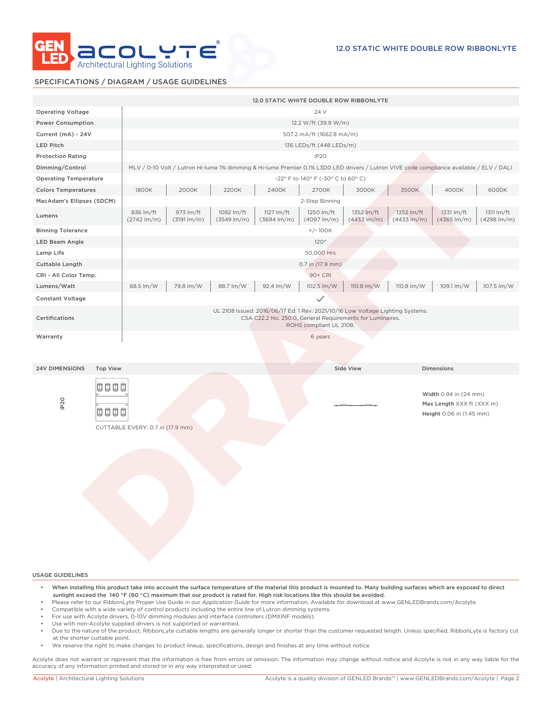

### SPECIFICATIONS / DIAGRAM / USAGE GUIDELINES

|                                          |                                      |                                      |                                       |                                       | 12.0 STATIC WHITE DOUBLE ROW RIBBONLYTE                                                                                                                                |                                       |                                       |                                                                                |                                       |
|------------------------------------------|--------------------------------------|--------------------------------------|---------------------------------------|---------------------------------------|------------------------------------------------------------------------------------------------------------------------------------------------------------------------|---------------------------------------|---------------------------------------|--------------------------------------------------------------------------------|---------------------------------------|
| <b>Operating Voltage</b>                 |                                      |                                      |                                       |                                       | 24 V                                                                                                                                                                   |                                       |                                       |                                                                                |                                       |
| <b>Power Consumption</b>                 |                                      |                                      |                                       |                                       | 12.2 W/ft (39.9 W/m)                                                                                                                                                   |                                       |                                       |                                                                                |                                       |
| Current (mA) - 24V                       |                                      |                                      |                                       |                                       | 507.2 mA/ft (1662.8 mA/m)                                                                                                                                              |                                       |                                       |                                                                                |                                       |
| <b>LED Pitch</b>                         |                                      |                                      |                                       |                                       | 136 LEDs/ft (448 LEDs/m)                                                                                                                                               |                                       |                                       |                                                                                |                                       |
| <b>Protection Rating</b>                 |                                      |                                      |                                       |                                       | IP <sub>20</sub>                                                                                                                                                       |                                       |                                       |                                                                                |                                       |
| Dimming/Control                          |                                      |                                      |                                       |                                       | MLV / 0-10 Volt / Lutron Hi-lume 1% dimming & Hi-lume Premier 0.1% L3D0 LED drivers / Lutron VIVE code compliance available / ELV / DALI                               |                                       |                                       |                                                                                |                                       |
| <b>Operating Temperature</b>             |                                      |                                      |                                       |                                       | -22° F to 140° F (-30° C to 60° C)                                                                                                                                     |                                       |                                       |                                                                                |                                       |
| <b>Colors Temperatures</b>               | 1800K                                | 2000K                                | 2200K                                 | 2400K                                 | 2700K                                                                                                                                                                  | 3000K                                 | 3500K                                 | 4000K                                                                          | 6000K                                 |
| MacAdam's Ellipses (SDCM)                |                                      |                                      |                                       |                                       | 2-Step Binning                                                                                                                                                         |                                       |                                       |                                                                                |                                       |
| Lumens                                   | 836 lm/ft<br>$(2742 \, \text{Im/m})$ | 973 lm/ft<br>$(3191 \, \text{Im/m})$ | 1082 lm/ft<br>$(3549 \, \text{Im/m})$ | 1127 lm/ft<br>$(3694 \, \text{Im/m})$ | 1250 lm/ft<br>$(4097 \, \text{Im/m})$                                                                                                                                  | 1352 lm/ft<br>$(4433 \, \text{Im/m})$ | 1352 lm/ft<br>$(4433 \, \text{Im/m})$ | 1331 lm/ft<br>$(4365 \, \text{Im/m})$                                          | 1311 lm/ft<br>$(4298 \, \text{Im/m})$ |
| <b>Binning Tolerance</b>                 |                                      |                                      |                                       |                                       | $+/-100K$                                                                                                                                                              |                                       |                                       |                                                                                |                                       |
| LED Beam Angle                           |                                      |                                      |                                       |                                       | 120°                                                                                                                                                                   |                                       |                                       |                                                                                |                                       |
| Lamp Life                                |                                      |                                      |                                       |                                       | 50,000 Hrs                                                                                                                                                             |                                       |                                       |                                                                                |                                       |
| <b>Cuttable Length</b>                   |                                      |                                      |                                       |                                       | 0.7 in (17.9 mm)                                                                                                                                                       |                                       |                                       |                                                                                |                                       |
| CRI - All Color Temp.                    |                                      |                                      |                                       |                                       | 90+ CRI                                                                                                                                                                |                                       |                                       |                                                                                |                                       |
| Lumens/Watt                              | 68.5 lm/W                            | 79.8 lm/W                            | 88.7 lm/W                             | 92.4 lm/W                             | 102.5 lm/W                                                                                                                                                             | 110.8 lm/W                            | 110.8 lm/W                            | 109.1 lm/W                                                                     | 107.5 lm/W                            |
| <b>Constant Voltage</b>                  |                                      |                                      |                                       |                                       | $\checkmark$                                                                                                                                                           |                                       |                                       |                                                                                |                                       |
| Certifications                           |                                      |                                      |                                       |                                       | UL 2108 Issued: 2016/06/17 Ed: 1 Rev: 2021/10/16 Low Voltage Lighting Systems.<br>CSA C22.2 No. 250.0, General Requirements for Luminaires.<br>ROHS compliant UL 2108. |                                       |                                       |                                                                                |                                       |
| Warranty                                 |                                      |                                      |                                       |                                       | 6 years                                                                                                                                                                |                                       |                                       |                                                                                |                                       |
| <b>Top View</b><br><b>24V DIMENSIONS</b> |                                      |                                      |                                       |                                       |                                                                                                                                                                        | <b>Side View</b>                      |                                       | <b>Dimensions</b>                                                              |                                       |
| booo<br>IP <sub>20</sub><br>0000         | CUTTABLE EVERY: 0.7 in (17.9 mm)     |                                      |                                       |                                       |                                                                                                                                                                        |                                       |                                       | Width 0.94 in (24 mm)<br>Max Length XXX ft (XXX m)<br>Height 0.06 in (1.45 mm) |                                       |
|                                          |                                      |                                      |                                       |                                       |                                                                                                                                                                        |                                       |                                       |                                                                                |                                       |

USAGE GUIDELINES

- When installing this product take into account the surface temperature of the material this product is mounted to. Many building surfaces which are exposed to direct sunlight exceed the 140 °F (60 °C) maximum that our product is rated for. High risk locations like this should be avoided.
- Please refer to our RibbonLyte Proper Use Guide in our *Application Guide* for more information. Available for download at www.GENLEDBrands.com/Acolyte.
- Compatible with a wide variety of control products including the entire line of Lutron dimming systems.
- For use with Acolyte drivers, 0-10V dimming modules and interface controllers (DMXINF models).
- Use with non-Acolyte supplied drivers is not supported or warrantied.
- Due to the nature of the product, RibbonLyte cuttable lengths are generally longer or shorter than the customer requested length. Unless specified, RibbonLyte is factory cut at the shorter cuttable point.
- We reserve the right to make changes to product lineup, specifications, design and finishes at any time without notice.

Acolyte does not warrant or represent that the information is free from errors or omission. The information may change without notice and Acolyte is not in any way liable for the accuracy of any information printed and stored or in any way interpreted or used.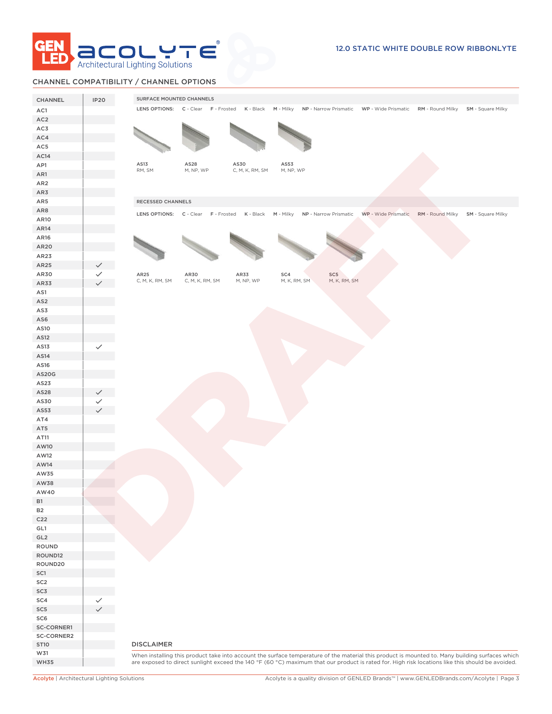

# CHANNEL COMPATIBILITY / CHANNEL OPTIONS

| LENS OPTIONS: C - Clear F - Frosted K - Black M - Milky NP - Narrow Prismatic WP - Wide Prismatic RM - Round Milky SM - Square Milky<br>AC1<br>AC <sub>2</sub><br>AS13<br>AS28<br>AS30<br>AS53<br>RM, SM<br>M, NP, WP<br>C, M, K, RM, SM<br>M, NP, WP<br>AR5<br>RECESSED CHANNELS<br>AR8<br>LENS OPTIONS: C - Clear F - Frosted K - Black<br>M - Milky NP - Narrow Prismatic<br>AR10<br>AR14<br>AR16<br>AR20<br>AR23<br>$SC5\,$<br>AR25<br>AR30<br>AR33<br>SC4<br>$\checkmark$<br>M, K, RM, SM<br>C, M, K, RM, SM<br>C, M, K, RM, SM<br>M, NP, WP<br>M, K, RM, SM<br>AS13<br>$\checkmark$<br>AS14<br>AS16<br>AS20G<br>AS23<br>AS28<br>AS30<br>AS53<br>AW40<br><b>B1</b><br><b>B2</b><br>C <sub>22</sub><br>GL1<br>GL <sub>2</sub><br>ROUND<br>ROUND12<br>SC-CORNER2<br><b>DISCLAIMER</b><br><b>ST10</b><br>W31 | CHANNEL         | <b>IP20</b> | SURFACE MOUNTED CHANNELS |  |  |  |
|----------------------------------------------------------------------------------------------------------------------------------------------------------------------------------------------------------------------------------------------------------------------------------------------------------------------------------------------------------------------------------------------------------------------------------------------------------------------------------------------------------------------------------------------------------------------------------------------------------------------------------------------------------------------------------------------------------------------------------------------------------------------------------------------------------------|-----------------|-------------|--------------------------|--|--|--|
|                                                                                                                                                                                                                                                                                                                                                                                                                                                                                                                                                                                                                                                                                                                                                                                                                |                 |             |                          |  |  |  |
|                                                                                                                                                                                                                                                                                                                                                                                                                                                                                                                                                                                                                                                                                                                                                                                                                |                 |             |                          |  |  |  |
| WP - Wide Prismatic RM - Round Milky SM - Square Milky<br>When installing this product take into account the surface temperature of the material this product is mounted to. Many building surfaces which<br>are exposed to direct sunlight exceed the 140 °F (60 °C) maximum that our product is rated for. High risk locations like this should be avoided.                                                                                                                                                                                                                                                                                                                                                                                                                                                  | AC3             |             |                          |  |  |  |
|                                                                                                                                                                                                                                                                                                                                                                                                                                                                                                                                                                                                                                                                                                                                                                                                                | AC4             |             |                          |  |  |  |
|                                                                                                                                                                                                                                                                                                                                                                                                                                                                                                                                                                                                                                                                                                                                                                                                                | AC5             |             |                          |  |  |  |
|                                                                                                                                                                                                                                                                                                                                                                                                                                                                                                                                                                                                                                                                                                                                                                                                                | AC14            |             |                          |  |  |  |
|                                                                                                                                                                                                                                                                                                                                                                                                                                                                                                                                                                                                                                                                                                                                                                                                                | AP1             |             |                          |  |  |  |
|                                                                                                                                                                                                                                                                                                                                                                                                                                                                                                                                                                                                                                                                                                                                                                                                                | AR1             |             |                          |  |  |  |
|                                                                                                                                                                                                                                                                                                                                                                                                                                                                                                                                                                                                                                                                                                                                                                                                                | AR <sub>2</sub> |             |                          |  |  |  |
|                                                                                                                                                                                                                                                                                                                                                                                                                                                                                                                                                                                                                                                                                                                                                                                                                | AR3             |             |                          |  |  |  |
|                                                                                                                                                                                                                                                                                                                                                                                                                                                                                                                                                                                                                                                                                                                                                                                                                |                 |             |                          |  |  |  |
|                                                                                                                                                                                                                                                                                                                                                                                                                                                                                                                                                                                                                                                                                                                                                                                                                |                 |             |                          |  |  |  |
|                                                                                                                                                                                                                                                                                                                                                                                                                                                                                                                                                                                                                                                                                                                                                                                                                |                 |             |                          |  |  |  |
|                                                                                                                                                                                                                                                                                                                                                                                                                                                                                                                                                                                                                                                                                                                                                                                                                |                 |             |                          |  |  |  |
|                                                                                                                                                                                                                                                                                                                                                                                                                                                                                                                                                                                                                                                                                                                                                                                                                |                 |             |                          |  |  |  |
|                                                                                                                                                                                                                                                                                                                                                                                                                                                                                                                                                                                                                                                                                                                                                                                                                |                 |             |                          |  |  |  |
|                                                                                                                                                                                                                                                                                                                                                                                                                                                                                                                                                                                                                                                                                                                                                                                                                | AR25            |             |                          |  |  |  |
|                                                                                                                                                                                                                                                                                                                                                                                                                                                                                                                                                                                                                                                                                                                                                                                                                | AR30            |             |                          |  |  |  |
|                                                                                                                                                                                                                                                                                                                                                                                                                                                                                                                                                                                                                                                                                                                                                                                                                | AR33            |             |                          |  |  |  |
|                                                                                                                                                                                                                                                                                                                                                                                                                                                                                                                                                                                                                                                                                                                                                                                                                | AS1             |             |                          |  |  |  |
|                                                                                                                                                                                                                                                                                                                                                                                                                                                                                                                                                                                                                                                                                                                                                                                                                | AS <sub>2</sub> |             |                          |  |  |  |
|                                                                                                                                                                                                                                                                                                                                                                                                                                                                                                                                                                                                                                                                                                                                                                                                                | AS3             |             |                          |  |  |  |
|                                                                                                                                                                                                                                                                                                                                                                                                                                                                                                                                                                                                                                                                                                                                                                                                                | AS6             |             |                          |  |  |  |
|                                                                                                                                                                                                                                                                                                                                                                                                                                                                                                                                                                                                                                                                                                                                                                                                                | AS10            |             |                          |  |  |  |
|                                                                                                                                                                                                                                                                                                                                                                                                                                                                                                                                                                                                                                                                                                                                                                                                                | AS12            |             |                          |  |  |  |
|                                                                                                                                                                                                                                                                                                                                                                                                                                                                                                                                                                                                                                                                                                                                                                                                                |                 |             |                          |  |  |  |
|                                                                                                                                                                                                                                                                                                                                                                                                                                                                                                                                                                                                                                                                                                                                                                                                                |                 |             |                          |  |  |  |
|                                                                                                                                                                                                                                                                                                                                                                                                                                                                                                                                                                                                                                                                                                                                                                                                                |                 |             |                          |  |  |  |
|                                                                                                                                                                                                                                                                                                                                                                                                                                                                                                                                                                                                                                                                                                                                                                                                                |                 |             |                          |  |  |  |
|                                                                                                                                                                                                                                                                                                                                                                                                                                                                                                                                                                                                                                                                                                                                                                                                                |                 |             |                          |  |  |  |
|                                                                                                                                                                                                                                                                                                                                                                                                                                                                                                                                                                                                                                                                                                                                                                                                                |                 |             |                          |  |  |  |
|                                                                                                                                                                                                                                                                                                                                                                                                                                                                                                                                                                                                                                                                                                                                                                                                                |                 |             |                          |  |  |  |
|                                                                                                                                                                                                                                                                                                                                                                                                                                                                                                                                                                                                                                                                                                                                                                                                                | AT4             |             |                          |  |  |  |
|                                                                                                                                                                                                                                                                                                                                                                                                                                                                                                                                                                                                                                                                                                                                                                                                                | AT5             |             |                          |  |  |  |
|                                                                                                                                                                                                                                                                                                                                                                                                                                                                                                                                                                                                                                                                                                                                                                                                                | AT11            |             |                          |  |  |  |
|                                                                                                                                                                                                                                                                                                                                                                                                                                                                                                                                                                                                                                                                                                                                                                                                                | AW10            |             |                          |  |  |  |
|                                                                                                                                                                                                                                                                                                                                                                                                                                                                                                                                                                                                                                                                                                                                                                                                                | AW12            |             |                          |  |  |  |
|                                                                                                                                                                                                                                                                                                                                                                                                                                                                                                                                                                                                                                                                                                                                                                                                                | AW14            |             |                          |  |  |  |
|                                                                                                                                                                                                                                                                                                                                                                                                                                                                                                                                                                                                                                                                                                                                                                                                                | AW35            |             |                          |  |  |  |
|                                                                                                                                                                                                                                                                                                                                                                                                                                                                                                                                                                                                                                                                                                                                                                                                                | AW38            |             |                          |  |  |  |
|                                                                                                                                                                                                                                                                                                                                                                                                                                                                                                                                                                                                                                                                                                                                                                                                                |                 |             |                          |  |  |  |
|                                                                                                                                                                                                                                                                                                                                                                                                                                                                                                                                                                                                                                                                                                                                                                                                                |                 |             |                          |  |  |  |
|                                                                                                                                                                                                                                                                                                                                                                                                                                                                                                                                                                                                                                                                                                                                                                                                                |                 |             |                          |  |  |  |
|                                                                                                                                                                                                                                                                                                                                                                                                                                                                                                                                                                                                                                                                                                                                                                                                                |                 |             |                          |  |  |  |
|                                                                                                                                                                                                                                                                                                                                                                                                                                                                                                                                                                                                                                                                                                                                                                                                                |                 |             |                          |  |  |  |
|                                                                                                                                                                                                                                                                                                                                                                                                                                                                                                                                                                                                                                                                                                                                                                                                                |                 |             |                          |  |  |  |
|                                                                                                                                                                                                                                                                                                                                                                                                                                                                                                                                                                                                                                                                                                                                                                                                                |                 |             |                          |  |  |  |
|                                                                                                                                                                                                                                                                                                                                                                                                                                                                                                                                                                                                                                                                                                                                                                                                                | ROUND20         |             |                          |  |  |  |
|                                                                                                                                                                                                                                                                                                                                                                                                                                                                                                                                                                                                                                                                                                                                                                                                                | SC1             |             |                          |  |  |  |
|                                                                                                                                                                                                                                                                                                                                                                                                                                                                                                                                                                                                                                                                                                                                                                                                                | SC <sub>2</sub> |             |                          |  |  |  |
|                                                                                                                                                                                                                                                                                                                                                                                                                                                                                                                                                                                                                                                                                                                                                                                                                | SC3             |             |                          |  |  |  |
|                                                                                                                                                                                                                                                                                                                                                                                                                                                                                                                                                                                                                                                                                                                                                                                                                | SC4             |             |                          |  |  |  |
|                                                                                                                                                                                                                                                                                                                                                                                                                                                                                                                                                                                                                                                                                                                                                                                                                | SC <sub>5</sub> |             |                          |  |  |  |
|                                                                                                                                                                                                                                                                                                                                                                                                                                                                                                                                                                                                                                                                                                                                                                                                                | SC <sub>6</sub> |             |                          |  |  |  |
|                                                                                                                                                                                                                                                                                                                                                                                                                                                                                                                                                                                                                                                                                                                                                                                                                | SC-CORNER1      |             |                          |  |  |  |
|                                                                                                                                                                                                                                                                                                                                                                                                                                                                                                                                                                                                                                                                                                                                                                                                                |                 |             |                          |  |  |  |
|                                                                                                                                                                                                                                                                                                                                                                                                                                                                                                                                                                                                                                                                                                                                                                                                                |                 |             |                          |  |  |  |
|                                                                                                                                                                                                                                                                                                                                                                                                                                                                                                                                                                                                                                                                                                                                                                                                                | <b>WH35</b>     |             |                          |  |  |  |